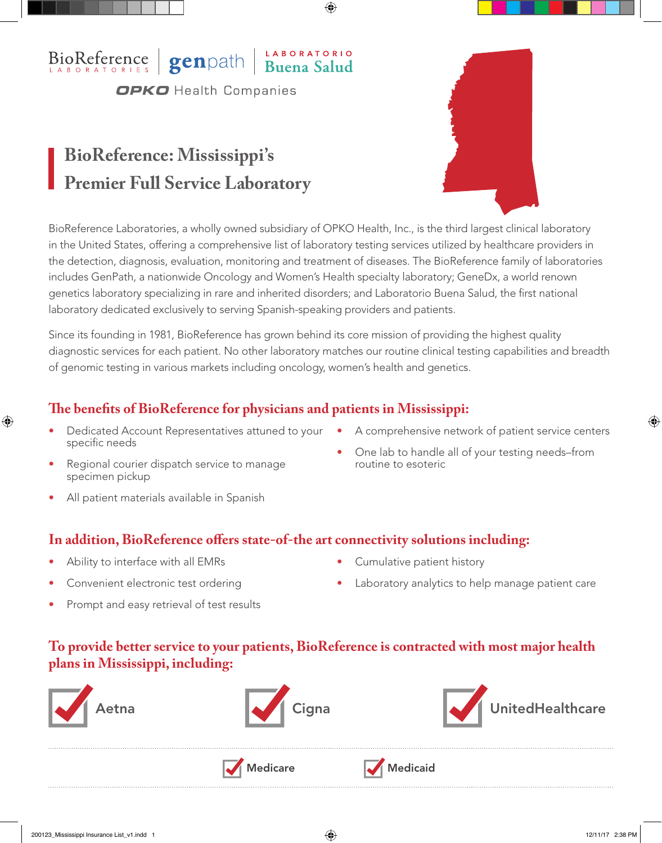## BioReference genpath Buena Salud **OPKO** Health Companies

# **BioReference: Mississippi's Premier Full Service Laboratory**



BioReference Laboratories, a wholly owned subsidiary of OPKO Health, Inc., is the third largest clinical laboratory in the United States, offering a comprehensive list of laboratory testing services utilized by healthcare providers in the detection, diagnosis, evaluation, monitoring and treatment of diseases. The BioReference family of laboratories includes GenPath, a nationwide Oncology and Women's Health specialty laboratory; GeneDx, a world renown genetics laboratory specializing in rare and inherited disorders; and Laboratorio Buena Salud, the first national laboratory dedicated exclusively to serving Spanish-speaking providers and patients.

Since its founding in 1981, BioReference has grown behind its core mission of providing the highest quality diagnostic services for each patient. No other laboratory matches our routine clinical testing capabilities and breadth of genomic testing in various markets including oncology, women's health and genetics.

## **The benefits of BioReference for physicians and patients in Mississippi:**

- Dedicated Account Representatives attuned to your A comprehensive network of patient service centers specific needs
- - Regional courier dispatch service to manage specimen pickup
- One lab to handle all of your testing needs–from routine to esoteric
- All patient materials available in Spanish

#### **In addition, BioReference offers state-of-the art connectivity solutions including:**

- Ability to interface with all EMRs
- Convenient electronic test ordering
- Prompt and easy retrieval of test results
- Cumulative patient history
- Laboratory analytics to help manage patient care

#### **To provide better service to your patients, BioReference is contracted with most major health plans in Mississippi, including:**

Medicare Medicaid